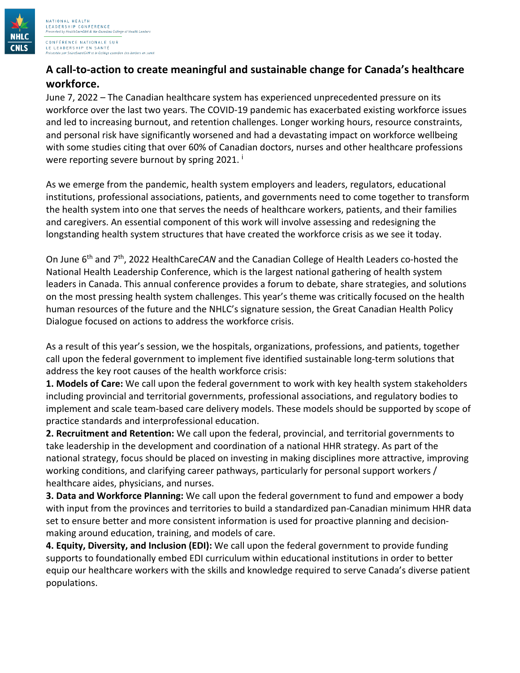

LEADERSHIP CONFERENCE<br>Presented by HealthCareCAN & the Canadian College of Health Leaders CONFÉRENCE NATIONALE SUR LE LEADERSHIP EN SANTÉ adien das leaders en santé eSantáCAN et la Collège ca

NATIONAL HEALTH

## **A call-to-action to create meaningful and sustainable change for Canada's healthcare workforce.**

June 7, 2022 – The Canadian healthcare system has experienced unprecedented pressure on its workforce over the last two years. The COVID-19 pandemic has exacerbated existing workforce issues and led to increasing burnout, and retention challenges. Longer working hours, resource constraints, and personal risk have significantly worsened and had a devastating impact on workforce wellbeing with some studies citing that over 60% of Canadian doctors, nurses and other healthcare professions were reporting severe burnout by spring 2021.

As we emerge from the pandemic, health system employers and leaders, regulators, educational institutions, professional associations, patients, and governments need to come together to transform the health system into one that serves the needs of healthcare workers, patients, and their families and caregivers. An essential component of this work will involve assessing and redesigning the longstanding health system structures that have created the workforce crisis as we see it today.

On June 6th and 7th, 2022 HealthCare*CAN* and the Canadian College of Health Leaders co-hosted the National Health Leadership Conference, which is the largest national gathering of health system leaders in Canada. This annual conference provides a forum to debate, share strategies, and solutions on the most pressing health system challenges. This year's theme was critically focused on the health human resources of the future and the NHLC's signature session, the Great Canadian Health Policy Dialogue focused on actions to address the workforce crisis.

As a result of this year's session, we the hospitals, organizations, professions, and patients, together call upon the federal government to implement five identified sustainable long-term solutions that address the key root causes of the health workforce crisis:

**1. Models of Care:** We call upon the federal government to work with key health system stakeholders including provincial and territorial governments, professional associations, and regulatory bodies to implement and scale team-based care delivery models. These models should be supported by scope of practice standards and interprofessional education.

**2. Recruitment and Retention:** We call upon the federal, provincial, and territorial governments to take leadership in the development and coordination of a national HHR strategy. As part of the national strategy, focus should be placed on investing in making disciplines more attractive, improving working conditions, and clarifying career pathways, particularly for personal support workers / healthcare aides, physicians, and nurses.

**3. Data and Workforce Planning:** We call upon the federal government to fund and empower a body with input from the provinces and territories to build a standardized pan-Canadian minimum HHR data set to ensure better and more consistent information is used for proactive planning and decisionmaking around education, training, and models of care.

**4. Equity, Diversity, and Inclusion (EDI):** We call upon the federal government to provide funding supports to foundationally embed EDI curriculum within educational institutions in order to better equip our healthcare workers with the skills and knowledge required to serve Canada's diverse patient populations.